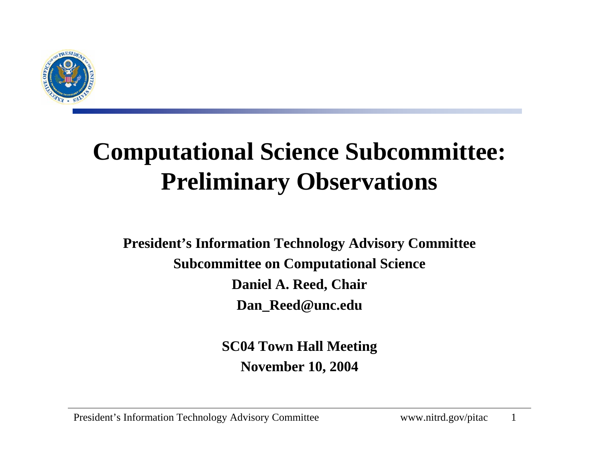

#### **Computational Science Subcommittee: Preliminary Observations**

**President's Information Technology Advisory Committee Subcommittee on Computational Science Daniel A. Reed, Chair Dan\_Reed@unc.edu**

> **SC04 Town Hall Meeting November 10, 2004**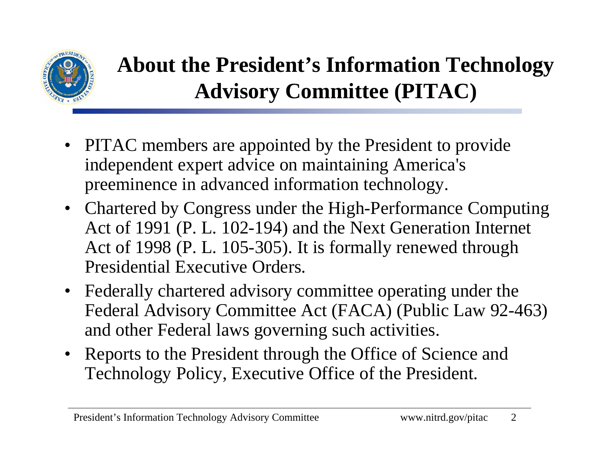

#### **About the President's Information Technology Advisory Committee (PITAC)**

- PITAC members are appointed by the President to provide independent expert advice on maintaining America's preeminence in advanced information technology.
- Chartered by Congress under the High-Performance Computing Act of 1991 (P. L. 102-194) and the Next Generation Internet Act of 1998 (P. L. 105-305). It is formally renewed through Presidential Executive Orders.
- • Federally chartered advisory committee operating under the Federal Advisory Committee Act (FACA) (Public Law 92-463) and other Federal laws governing such activities.
- Reports to the President through the Office of Science and Technology Policy, Executive Office of the President.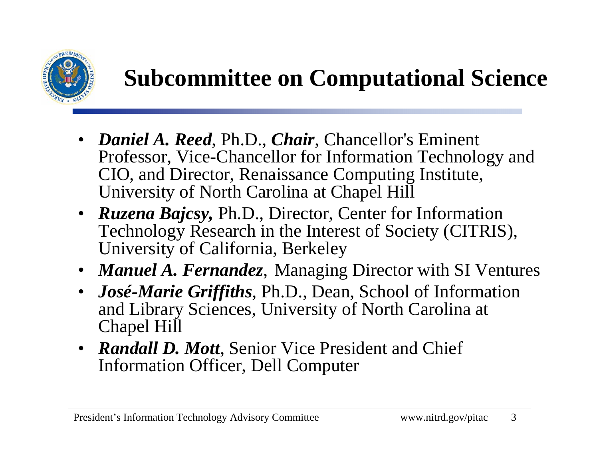

#### **Subcommittee on Computational Science**

- *Daniel A. Reed*, Ph.D., *Chair*, Chancellor's Eminent Professor, Vice-Chancellor for Information Technology and CIO, and Director, Renaissance Computing Institute, University of North Carolina at Chapel Hill
- *Ruzena Bajcsy*, Ph.D., Director, Center for Information Technology Research in the Interest of Society (CITRIS), University of California, Berkeley
- *Manuel A. Fernandez*, Managing Director with SI Ventures
- • *José-Marie Griffiths*, Ph.D., Dean, School of Information and Library Sciences, University of North Carolina at Chapel Hill
- *Randall D. Mott*, Senior Vice President and Chief Information Officer, Dell Computer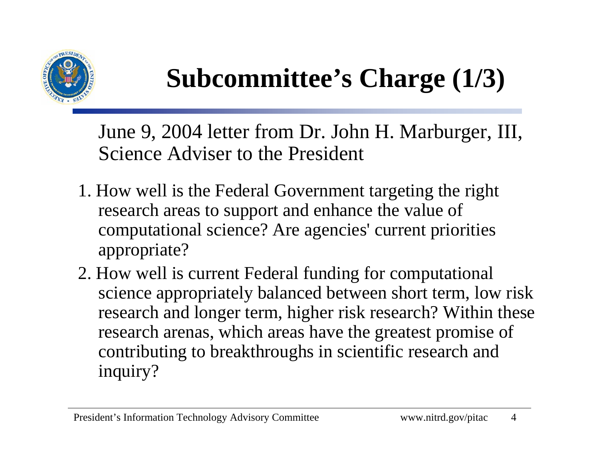

# **Subcommittee's Charge (1/3)**

June 9, 2004 letter from Dr. John H. Marburger, III, Science Adviser to the President

- 1. How well is the Federal Government targeting the right research areas to support and enhance the value of computational science? Are agencies' current priorities appropriate?
- 2. How well is current Federal funding for computational science appropriately balanced between short term, low risk research and longer term, higher risk research? Within these research arenas, which areas have the greatest promise of contributing to breakthroughs in scientific research and inquiry?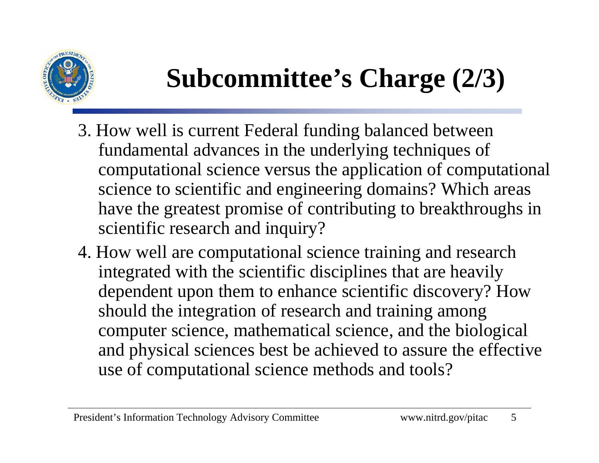

# **Subcommittee's Charge (2/3)**

- 3. How well is current Federal funding balanced between fundamental advances in the underlying techniques of computational science versus the application of computational science to scientific and engineering domains? Which areas have the greatest promise of contributing to breakthroughs in scientific research and inquiry?
- 4. How well are computational science training and research integrated with the scientific disciplines that are heavily dependent upon them to enhance scientific discovery? How should the integration of research and training among computer science, mathematical science, and the biological and physical sciences best be achieved to assure the effective use of computational science methods and tools?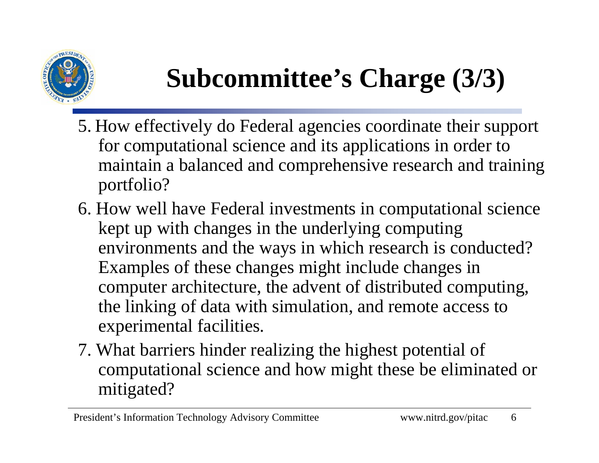

# **Subcommittee's Charge (3/3)**

- 5. How effectively do Federal agencies coordinate their support for computational science and its applications in order to maintain a balanced and comprehensive research and training portfolio?
- 6. How well have Federal investments in computational science kept up with changes in the underlying computing environments and the ways in which research is conducted? Examples of these changes might include changes in computer architecture, the advent of distributed computing, the linking of data with simulation, and remote access to experimental facilities.
- 7. What barriers hinder realizing the highest potential of computational science and how might these be eliminated or mitigated?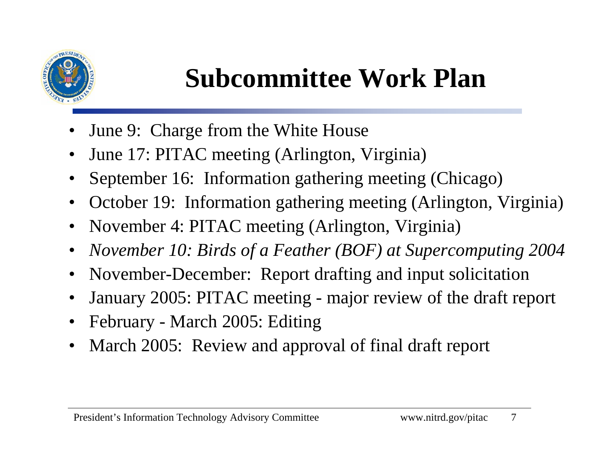

## **Subcommittee Work Plan**

- •June 9: Charge from the White House
- •June 17: PITAC meeting (Arlington, Virginia)
- •September 16: Information gathering meeting (Chicago)
- •October 19: Information gathering meeting (Arlington, Virginia)
- November 4: PITAC meeting (Arlington, Virginia)
- •*November 10: Birds of a Feather (BOF) at Supercomputing 2004*
- November-December: Report drafting and input solicitation
- •January 2005: PITAC meeting - major review of the draft report
- February March 2005: Editing
- •March 2005: Review and approval of final draft report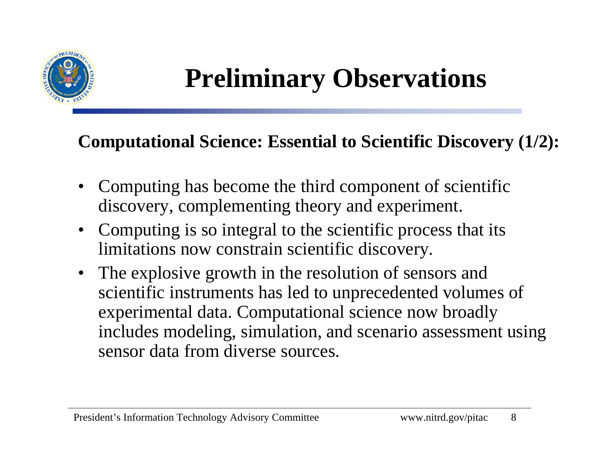

#### **Computational Science: Essential to Scientific Discovery (1/2):**

- • Computing has become the third component of scientific discovery, complementing theory and experiment.
- • Computing is so integral to the scientific process that its limitations now constrain scientific discovery.
- $\bullet$  The explosive growth in the resolution of sensors and scientific instruments has led to unprecedented volumes of experimental data. Computational science now broadly includes modeling, simulation, and scenario assessment using sensor data from diverse sources.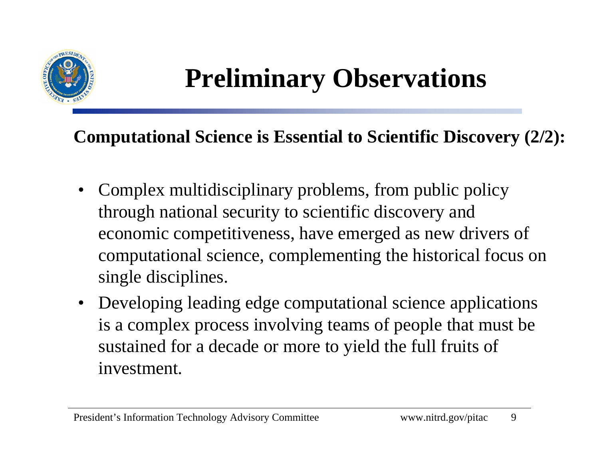

#### **Computational Science is Essential to Scientific Discovery (2/2):**

- $\bullet$  Complex multidisciplinary problems, from public policy through national security to scientific discovery and economic competitiveness, have emerged as new drivers of computational science, complementing the historical focus on single disciplines.
- Developing leading edge computational science applications is a complex process involving teams of people that must be sustained for a decade or more to yield the full fruits of investment.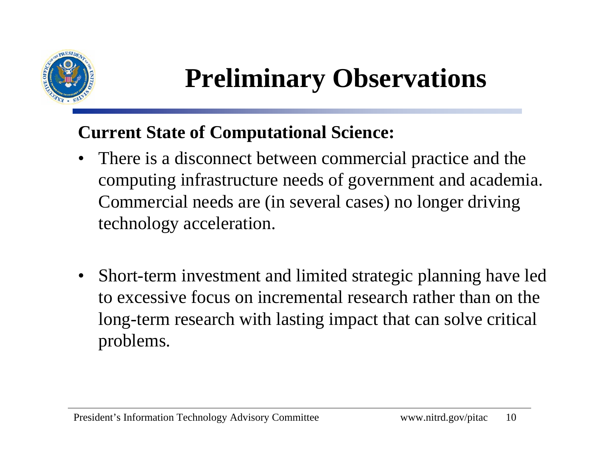

#### **Current State of Computational Science:**

- $\bullet$  There is a disconnect between commercial practice and the computing infrastructure needs of government and academia. Commercial needs are (in several cases) no longer driving technology acceleration.
- $\bullet$  Short-term investment and limited strategic planning have led to excessive focus on incremental research rather than on the long-term research with lasting impact that can solve critical problems.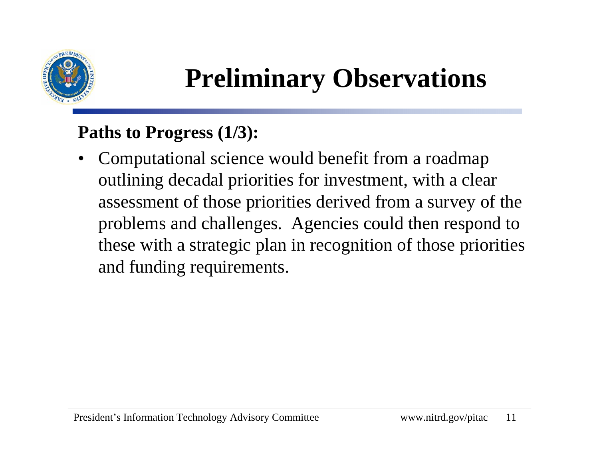

#### **Paths to Progress (1/3):**

• Computational science would benefit from a roadmap outlining decadal priorities for investment, with a clear assessment of those priorities derived from a survey of the problems and challenges. Agencies could then respond to these with a strategic plan in recognition of those priorities and funding requirements.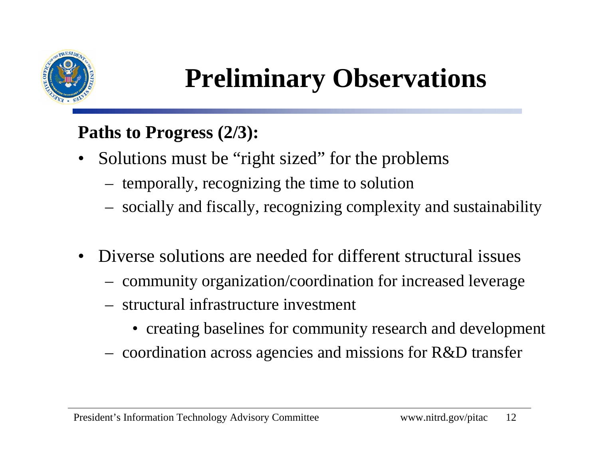

#### **Paths to Progress (2/3):**

- $\bullet$  Solutions must be "right sized" for the problems
	- temporally, recognizing the time to solution
	- socially and fiscally, recognizing complexity and sustainability
- • Diverse solutions are needed for different structural issues
	- community organization/coordination for increased leverage
	- structural infrastructure investment
		- creating baselines for community research and development
	- coordination across agencies and missions for R&D transfer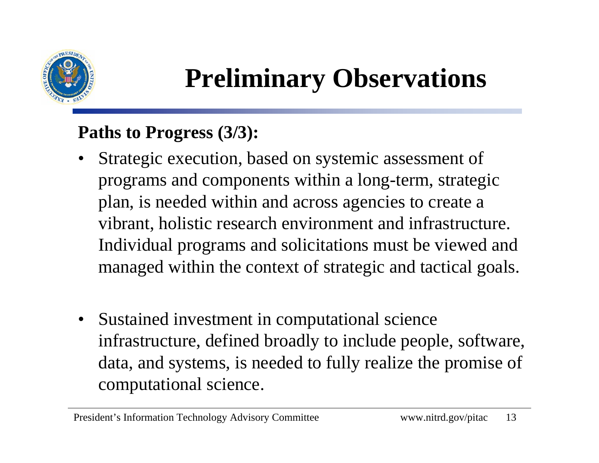

#### **Paths to Progress (3/3):**

- • Strategic execution, based on systemic assessment of programs and components within a long-term, strategic plan, is needed within and across agencies to create a vibrant, holistic research environment and infrastructure. Individual programs and solicitations must be viewed and managed within the context of strategic and tactical goals.
- $\bullet$  Sustained investment in computational science infrastructure, defined broadly to include people, software, data, and systems, is needed to fully realize the promise of computational science.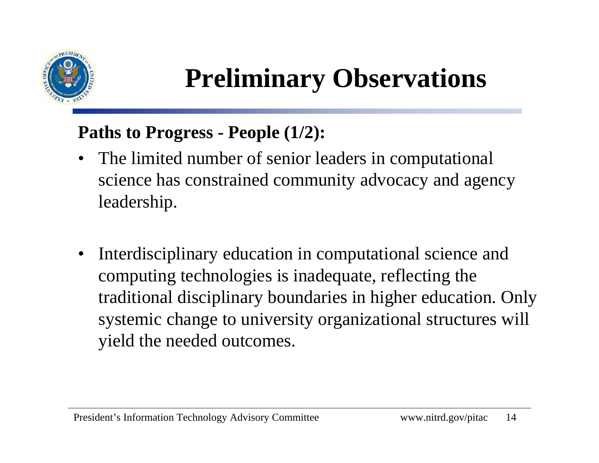

#### **Paths to Progress - People (1/2):**

- $\bullet$  The limited number of senior leaders in computational science has constrained community advocacy and agency leadership.
- • Interdisciplinary education in computational science and computing technologies is inadequate, reflecting the traditional disciplinary boundaries in higher education. Only systemic change to university organizational structures will yield the needed outcomes.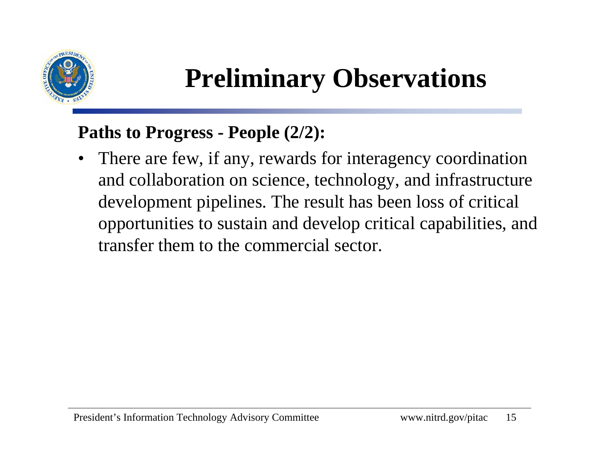

#### **Paths to Progress - People (2/2):**

• There are few, if any, rewards for interagency coordination and collaboration on science, technology, and infrastructure development pipelines. The result has been loss of critical opportunities to sustain and develop critical capabilities, and transfer them to the commercial sector.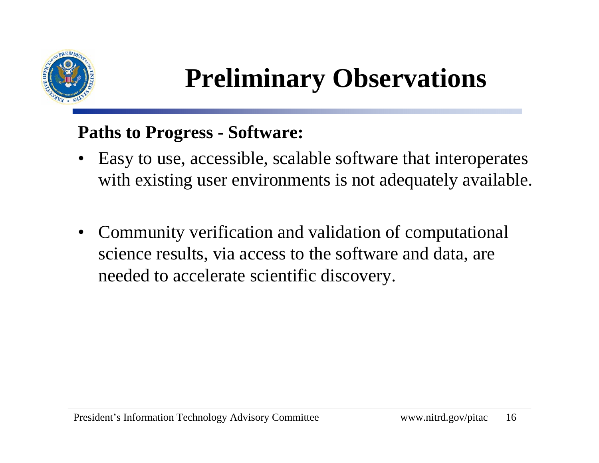

#### **Paths to Progress - Software:**

- • Easy to use, accessible, scalable software that interoperates with existing user environments is not adequately available.
- $\bullet$  Community verification and validation of computational science results, via access to the software and data, are needed to accelerate scientific discovery.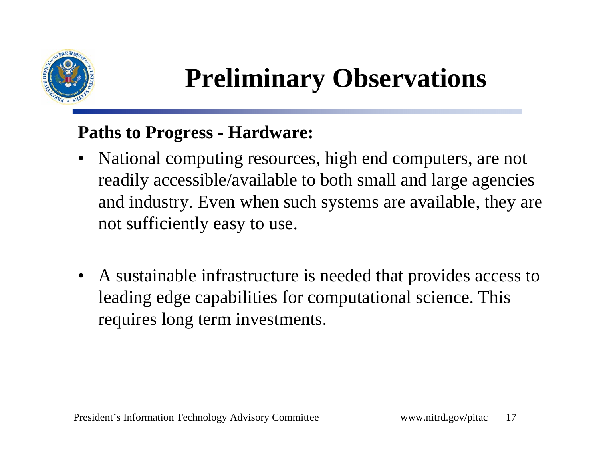

#### **Paths to Progress - Hardware:**

- $\bullet$  National computing resources, high end computers, are not readily accessible/available to both small and large agencies and industry. Even when such systems are available, they are not sufficiently easy to use.
- $\bullet$  A sustainable infrastructure is needed that provides access to leading edge capabilities for computational science. This requires long term investments.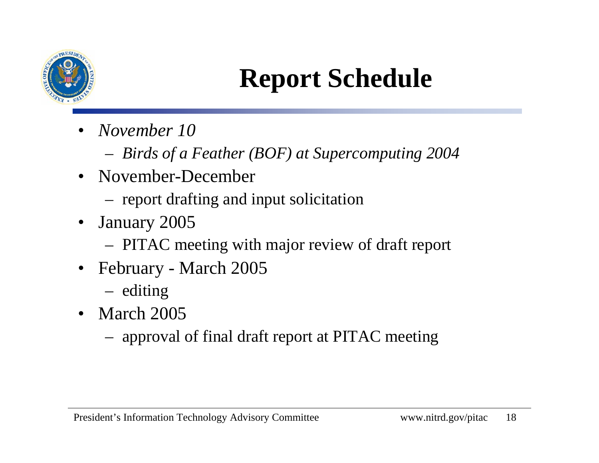

### **Report Schedule**

- • *November 10*
	- *Birds of a Feather (BOF) at Supercomputing 2004*
- November-December
	- report drafting and input solicitation
- $\bullet$  January 2005
	- PITAC meeting with major review of draft report
- • February - March 2005
	- editing
- March 2005
	- approval of final draft report at PITAC meeting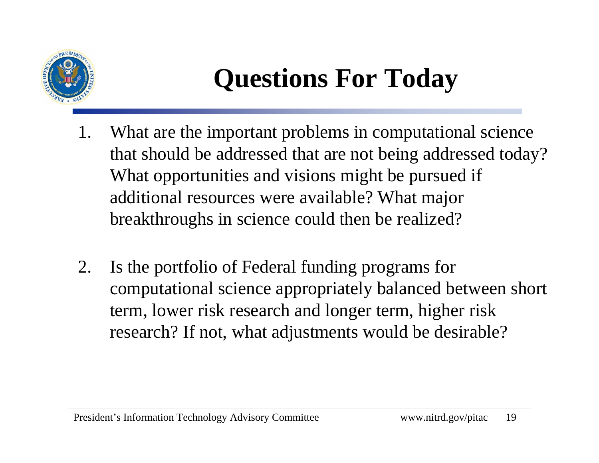

## **Questions For Today**

- 1. What are the important problems in computational science that should be addressed that are not being addressed today? What opportunities and visions might be pursued if additional resources were available? What major breakthroughs in science could then be realized?
- 2. Is the portfolio of Federal funding programs for computational science appropriately balanced between short term, lower risk research and longer term, higher risk research? If not, what adjustments would be desirable?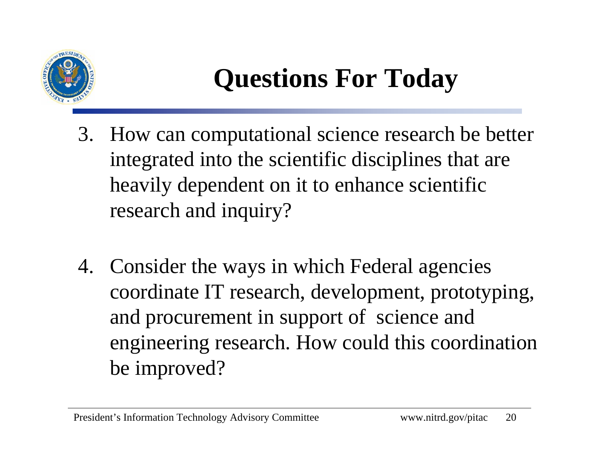

## **Questions For Today**

- 3. How can computational science research be better integrated into the scientific disciplines that are heavily dependent on it to enhance scientific research and inquiry?
- 4. Consider the ways in which Federal agencies coordinate IT research, development, prototyping, and procurement in support of science and engineering research. How could this coordination be improved?